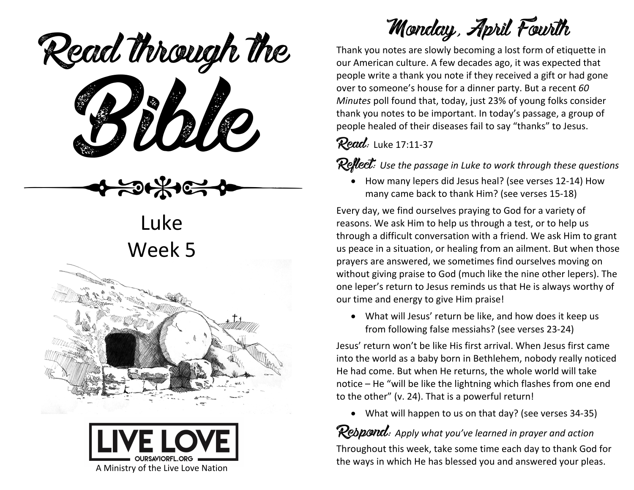ead mough is Read through the

Luke Week 5





Monday, April Fourth

Thank you notes are slowly becoming a lost form of etiquette in our American culture. A few decades ago, it was expected that people write a thank you note if they received a gift or had gone over to someone's house for a dinner party. But a recent *60 Minutes* poll found that, today, just 23% of young folks consider thank you notes to be important. In today's passage, a group of people healed of their diseases fail to say "thanks" to Jesus.

Read: Luke 17:11-37

**Reflect:** Use the passage in Luke to work through these questions

• How many lepers did Jesus heal? (see verses 12-14) How many came back to thank Him? (see verses 15-18)

Every day, we find ourselves praying to God for a variety of reasons. We ask Him to help us through a test, or to help us through a difficult conversation with a friend. We ask Him to grant us peace in a situation, or healing from an ailment. But when those prayers are answered, we sometimes find ourselves moving on without giving praise to God (much like the nine other lepers). The one leper's return to Jesus reminds us that He is always worthy of our time and energy to give Him praise!

• What will Jesus' return be like, and how does it keep us from following false messiahs? (see verses 23-24)

Jesus' return won't be like His first arrival. When Jesus first came into the world as a baby born in Bethlehem, nobody really noticed He had come. But when He returns, the whole world will take notice – He "will be like the lightning which flashes from one end to the other" (v. 24). That is a powerful return!

• What will happen to us on that day? (see verses 34-35)

### Rebpond: Apply what you've learned in prayer and action

Throughout this week, take some time each day to thank God for the ways in which He has blessed you and answered your pleas.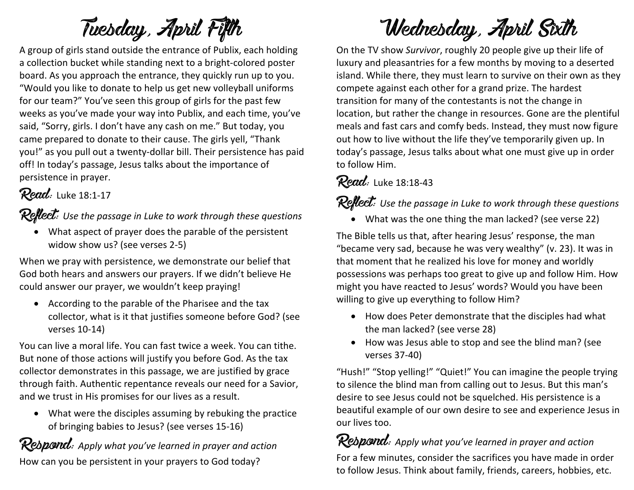# Tuesday, April Fifth

A group of girls stand outside the entrance of Publix, each holding a collection bucket while standing next to a bright-colored poster board. As you approach the entrance, they quickly run up to you. "Would you like to donate to help us get new volleyball uniforms for our team?" You've seen this group of girls for the past few weeks as you've made your way into Publix, and each time, you've said, "Sorry, girls. I don't have any cash on me." But today, you came prepared to donate to their cause. The girls yell, "Thank you!" as you pull out a twenty-dollar bill. Their persistence has paid off! In today's passage, Jesus talks about the importance of persistence in prayer.

#### Read: Luke 18:1-17

Reflect: *Use the passage in Luke to work through these questions*

• What aspect of prayer does the parable of the persistent widow show us? (see verses 2-5)

When we pray with persistence, we demonstrate our belief that God both hears and answers our prayers. If we didn't believe He could answer our prayer, we wouldn't keep praying!

• According to the parable of the Pharisee and the tax collector, what is it that justifies someone before God? (see verses 10-14)

You can live a moral life. You can fast twice a week. You can tithe. But none of those actions will justify you before God. As the tax collector demonstrates in this passage, we are justified by grace through faith. Authentic repentance reveals our need for a Savior, and we trust in His promises for our lives as a result.

• What were the disciples assuming by rebuking the practice of bringing babies to Jesus? (see verses 15-16)

**Respond:** Apply what you've learned in prayer and action How can you be persistent in your prayers to God today?

## Wednesday, April Sixth

On the TV show *Survivor*, roughly 20 people give up their life of luxury and pleasantries for a few months by moving to a deserted island. While there, they must learn to survive on their own as they compete against each other for a grand prize. The hardest transition for many of the contestants is not the change in location, but rather the change in resources. Gone are the plentiful meals and fast cars and comfy beds. Instead, they must now figure out how to live without the life they've temporarily given up. In today's passage, Jesus talks about what one must give up in order to follow Him.

#### Read: Luke 18:18-43

#### **Reflect:** Use the passage in Luke to work through these questions

• What was the one thing the man lacked? (see verse 22)

The Bible tells us that, after hearing Jesus' response, the man "became very sad, because he was very wealthy" (v. 23). It was in that moment that he realized his love for money and worldly possessions was perhaps too great to give up and follow Him. How might you have reacted to Jesus' words? Would you have been willing to give up everything to follow Him?

- How does Peter demonstrate that the disciples had what the man lacked? (see verse 28)
- How was Jesus able to stop and see the blind man? (see verses 37-40)

"Hush!" "Stop yelling!" "Quiet!" You can imagine the people trying to silence the blind man from calling out to Jesus. But this man's desire to see Jesus could not be squelched. His persistence is a beautiful example of our own desire to see and experience Jesus in our lives too.

Respond: *Apply what you've learned in prayer and action*

For a few minutes, consider the sacrifices you have made in order to follow Jesus. Think about family, friends, careers, hobbies, etc.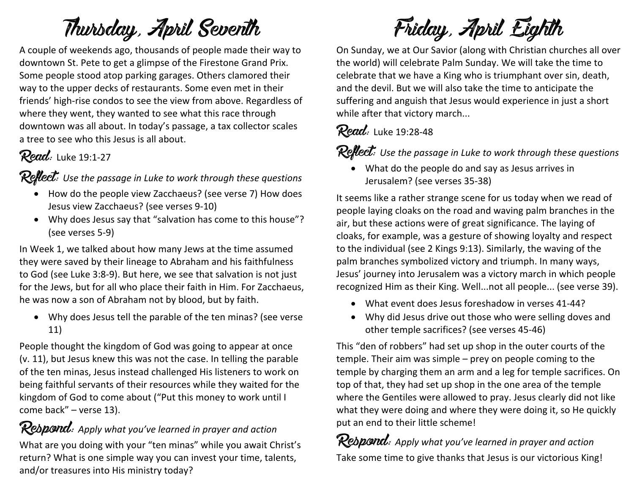## Thursday, April Seventh

A couple of weekends ago, thousands of people made their way to downtown St. Pete to get a glimpse of the Firestone Grand Prix. Some people stood atop parking garages. Others clamored their way to the upper decks of restaurants. Some even met in their friends' high-rise condos to see the view from above. Regardless of where they went, they wanted to see what this race through downtown was all about. In today's passage, a tax collector scales a tree to see who this Jesus is all about.

#### **Read:** Luke 19:1-27

Reflect: *Use the passage in Luke to work through these questions*

- How do the people view Zacchaeus? (see verse 7) How does Jesus view Zacchaeus? (see verses 9-10)
- Why does Jesus say that "salvation has come to this house"? (see verses 5-9)

In Week 1, we talked about how many Jews at the time assumed they were saved by their lineage to Abraham and his faithfulness to God (see Luke 3:8-9). But here, we see that salvation is not just for the Jews, but for all who place their faith in Him. For Zacchaeus, he was now a son of Abraham not by blood, but by faith.

• Why does Jesus tell the parable of the ten minas? (see verse 11)

People thought the kingdom of God was going to appear at once (v. 11), but Jesus knew this was not the case. In telling the parable of the ten minas, Jesus instead challenged His listeners to work on being faithful servants of their resources while they waited for the kingdom of God to come about ("Put this money to work until I come back" – verse 13).

Respond: Apply what you've learned in prayer and action What are you doing with your "ten minas" while you await Christ's return? What is one simple way you can invest your time, talents, and/or treasures into His ministry today?

Friday, April Eighth

On Sunday, we at Our Savior (along with Christian churches all over the world) will celebrate Palm Sunday. We will take the time to celebrate that we have a King who is triumphant over sin, death, and the devil. But we will also take the time to anticipate the suffering and anguish that Jesus would experience in just a short while after that victory march...

#### Read: Luke 19:28-48

**Reflect:** Use the passage in Luke to work through these questions

• What do the people do and say as Jesus arrives in Jerusalem? (see verses 35-38)

It seems like a rather strange scene for us today when we read of people laying cloaks on the road and waving palm branches in the air, but these actions were of great significance. The laying of cloaks, for example, was a gesture of showing loyalty and respect to the individual (see 2 Kings 9:13). Similarly, the waving of the palm branches symbolized victory and triumph. In many ways, Jesus' journey into Jerusalem was a victory march in which people recognized Him as their King. Well...not all people... (see verse 39).

- What event does Jesus foreshadow in verses 41-44?
- Why did Jesus drive out those who were selling doves and other temple sacrifices? (see verses 45-46)

This "den of robbers" had set up shop in the outer courts of the temple. Their aim was simple – prey on people coming to the temple by charging them an arm and a leg for temple sacrifices. On top of that, they had set up shop in the one area of the temple where the Gentiles were allowed to pray. Jesus clearly did not like what they were doing and where they were doing it, so He quickly put an end to their little scheme!

Rebpond: Apply what you've learned in prayer and action Take some time to give thanks that Jesus is our victorious King!